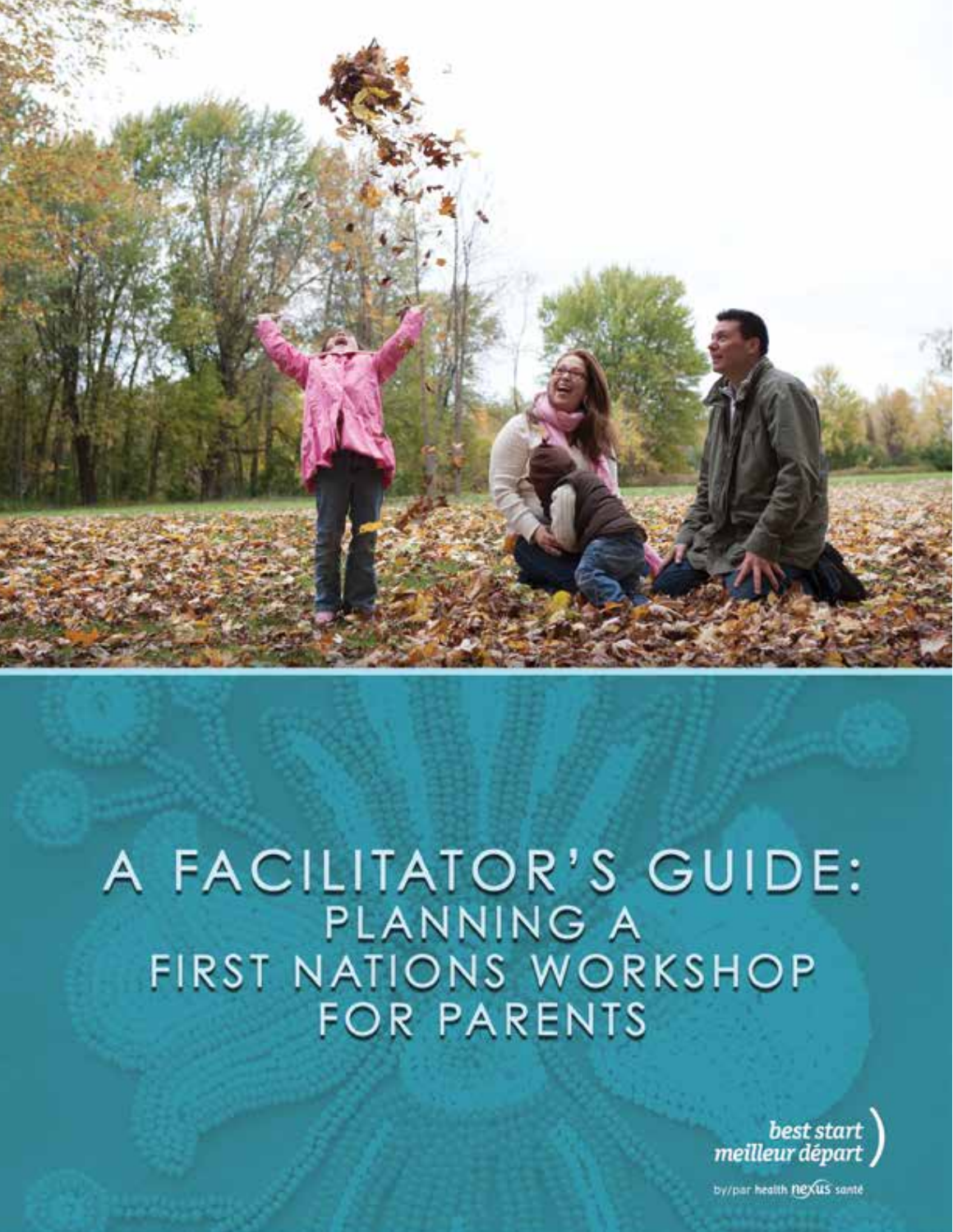

# A FACILITATOR'S GUIDE: PLANNING A<br>FIRST NATIONS WORKSHOP<br>FOR PARENTS



by/par.health.flexus sante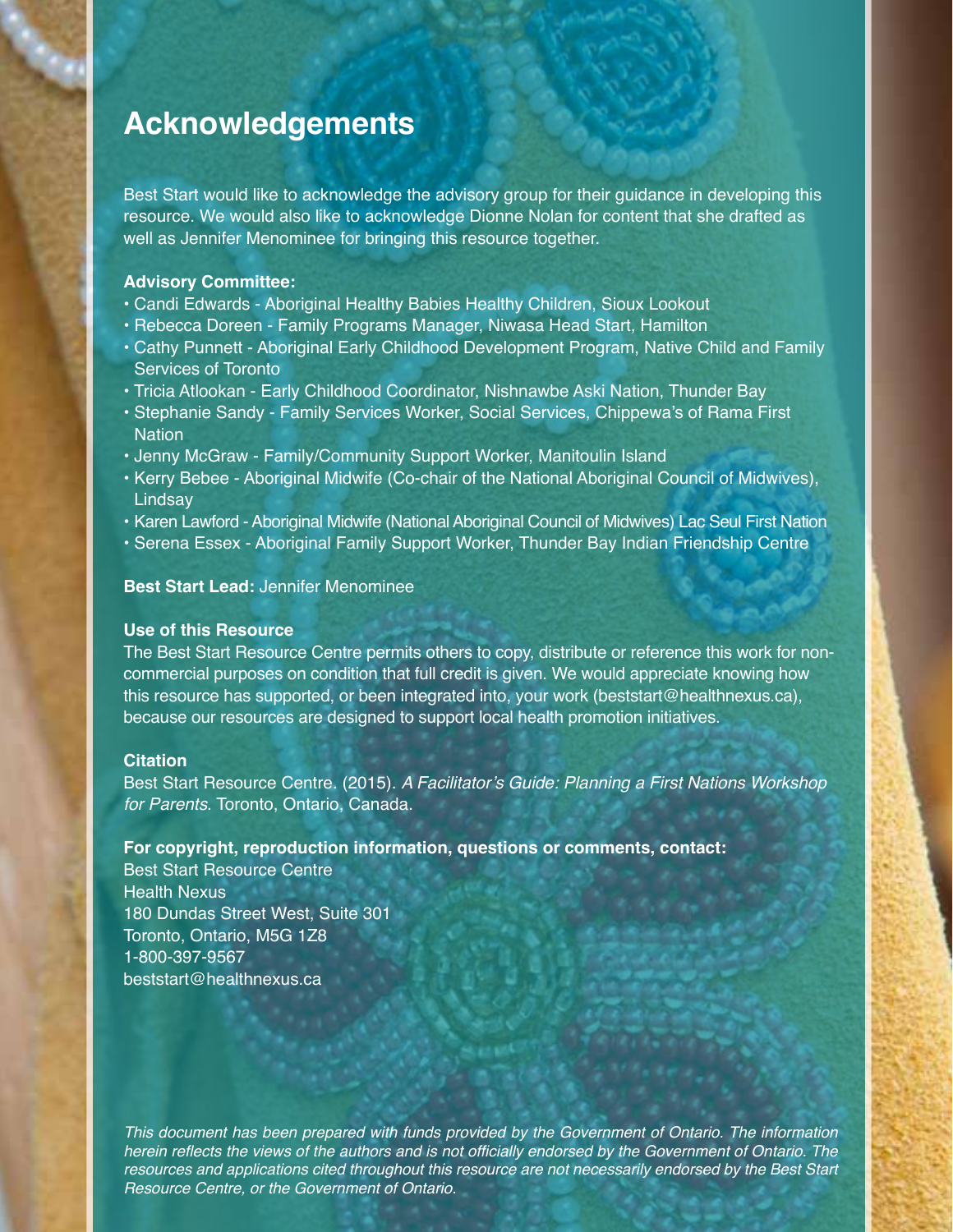## **Acknowledgements**

Best Start would like to acknowledge the advisory group for their guidance in developing this resource. We would also like to acknowledge Dionne Nolan for content that she drafted as well as Jennifer Menominee for bringing this resource together.

#### **Advisory Committee:**

- Candi Edwards Aboriginal Healthy Babies Healthy Children, Sioux Lookout
- Rebecca Doreen Family Programs Manager, Niwasa Head Start, Hamilton
- Cathy Punnett Aboriginal Early Childhood Development Program, Native Child and Family Services of Toronto
- Tricia Atlookan Early Childhood Coordinator, Nishnawbe Aski Nation, Thunder Bay
- Stephanie Sandy Family Services Worker, Social Services, Chippewa's of Rama First **Nation**
- Jenny McGraw Family/Community Support Worker, Manitoulin Island
- Kerry Bebee Aboriginal Midwife (Co-chair of the National Aboriginal Council of Midwives), **Lindsay**
- Karen Lawford Aboriginal Midwife (National Aboriginal Council of Midwives) Lac Seul First Nation
- Serena Essex Aboriginal Family Support Worker, Thunder Bay Indian Friendship Centre

#### **Best Start Lead:** Jennifer Menominee

#### **Use of this Resource**

The Best Start Resource Centre permits others to copy, distribute or reference this work for noncommercial purposes on condition that full credit is given. We would appreciate knowing how this resource has supported, or been integrated into, your work (beststart@healthnexus.ca), because our resources are designed to support local health promotion initiatives.

#### **Citation**

Best Start Resource Centre. (2015). A Facilitator's Guide: Planning a First Nations Workshop for Parents. Toronto, Ontario, Canada.

#### **For copyright, reproduction information, questions or comments, contact:**

Best Start Resource Centre Health Nexus 180 Dundas Street West, Suite 301 Toronto, Ontario, M5G 1Z8 1-800-397-9567 beststart@healthnexus.ca

This document has been prepared with funds provided by the Government of Ontario. The information herein reflects the views of the authors and is not officially endorsed by the Government of Ontario. The resources and applications cited throughout this resource are not necessarily endorsed by the Best Start Resource Centre, or the Government of Ontario.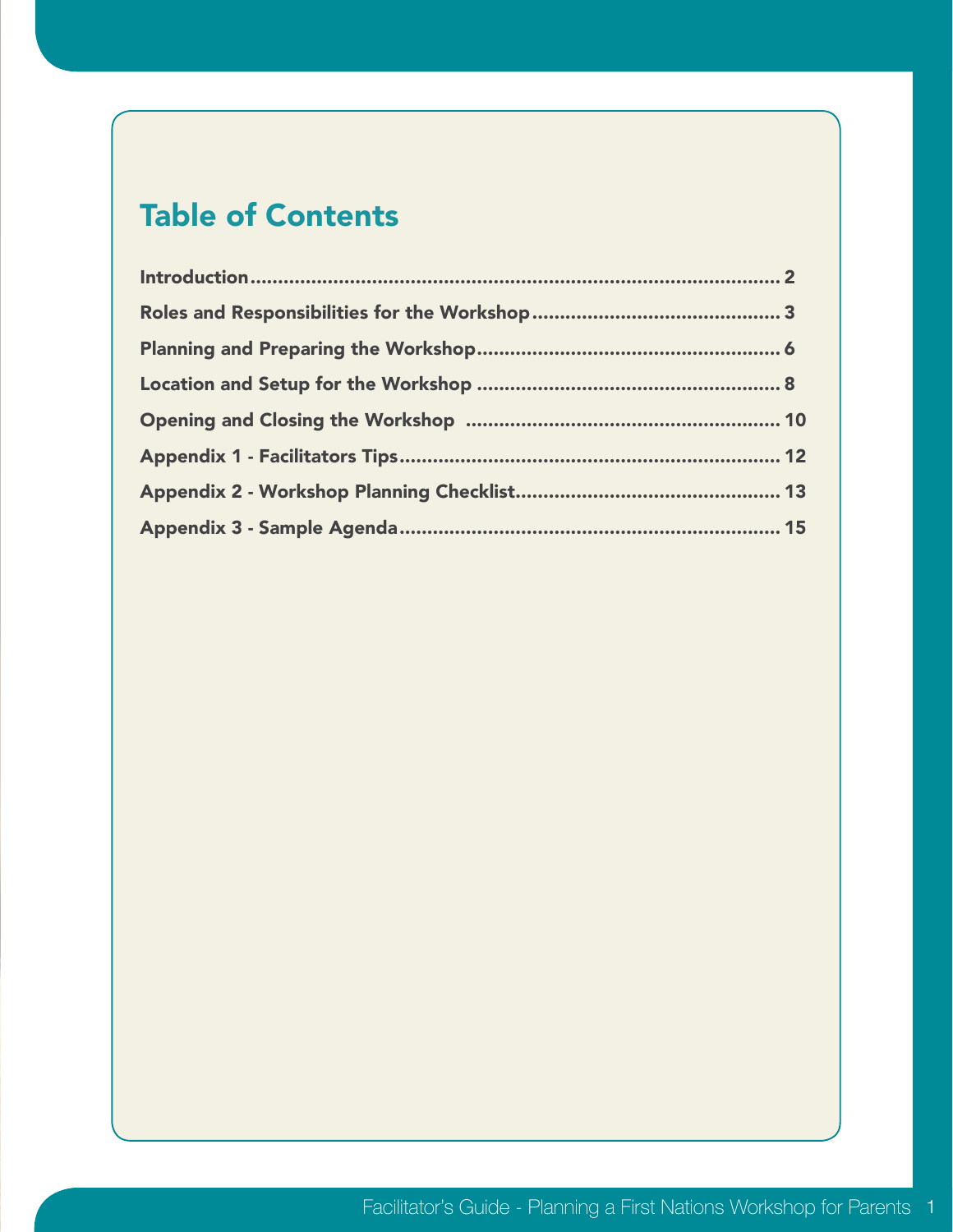# Table of Contents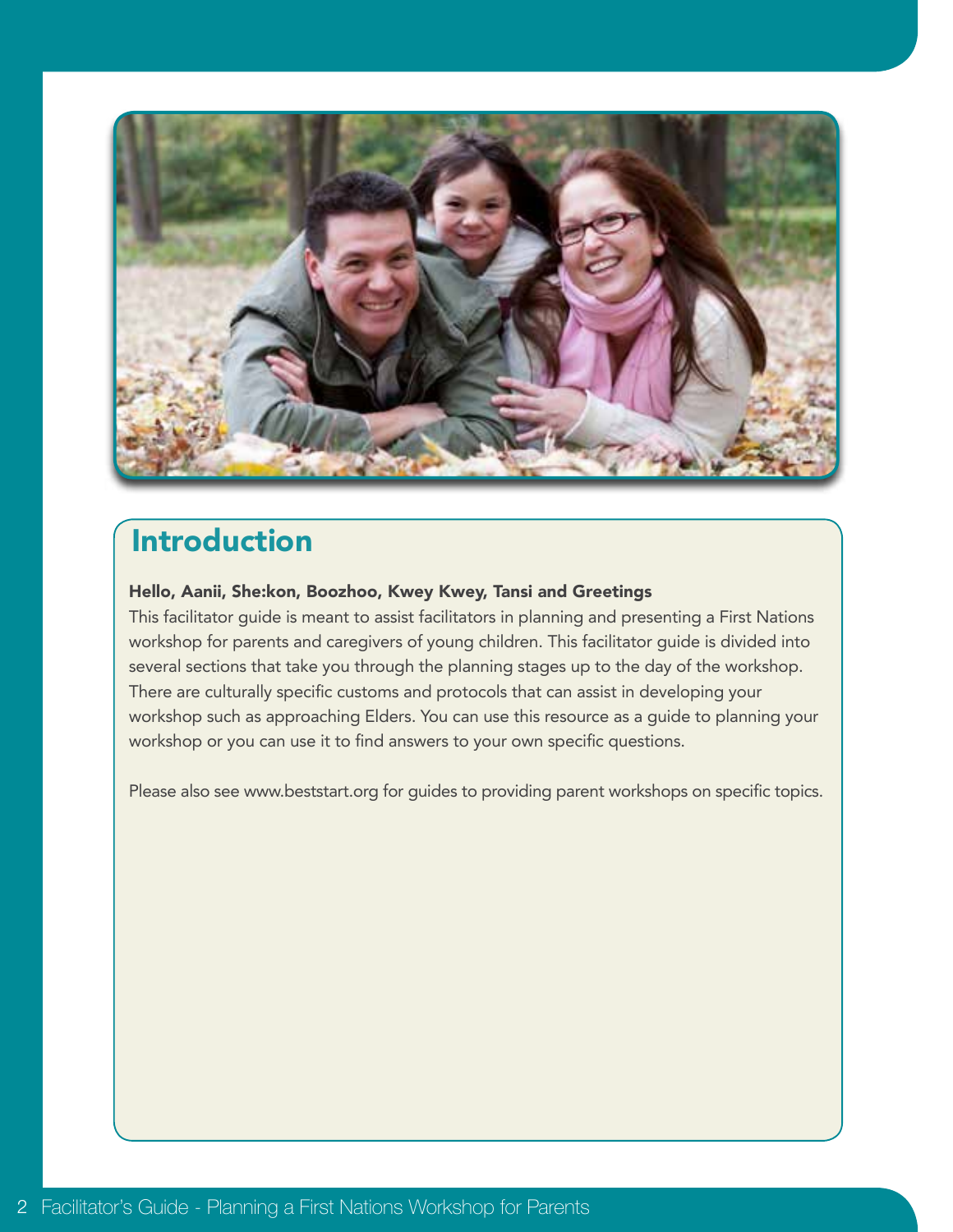

# Introduction

#### Hello, Aanii, She:kon, Boozhoo, Kwey Kwey, Tansi and Greetings

This facilitator guide is meant to assist facilitators in planning and presenting a First Nations workshop for parents and caregivers of young children. This facilitator guide is divided into several sections that take you through the planning stages up to the day of the workshop. There are culturally specific customs and protocols that can assist in developing your workshop such as approaching Elders. You can use this resource as a guide to planning your workshop or you can use it to find answers to your own specific questions.

Please also see www.beststart.org for guides to providing parent workshops on specific topics.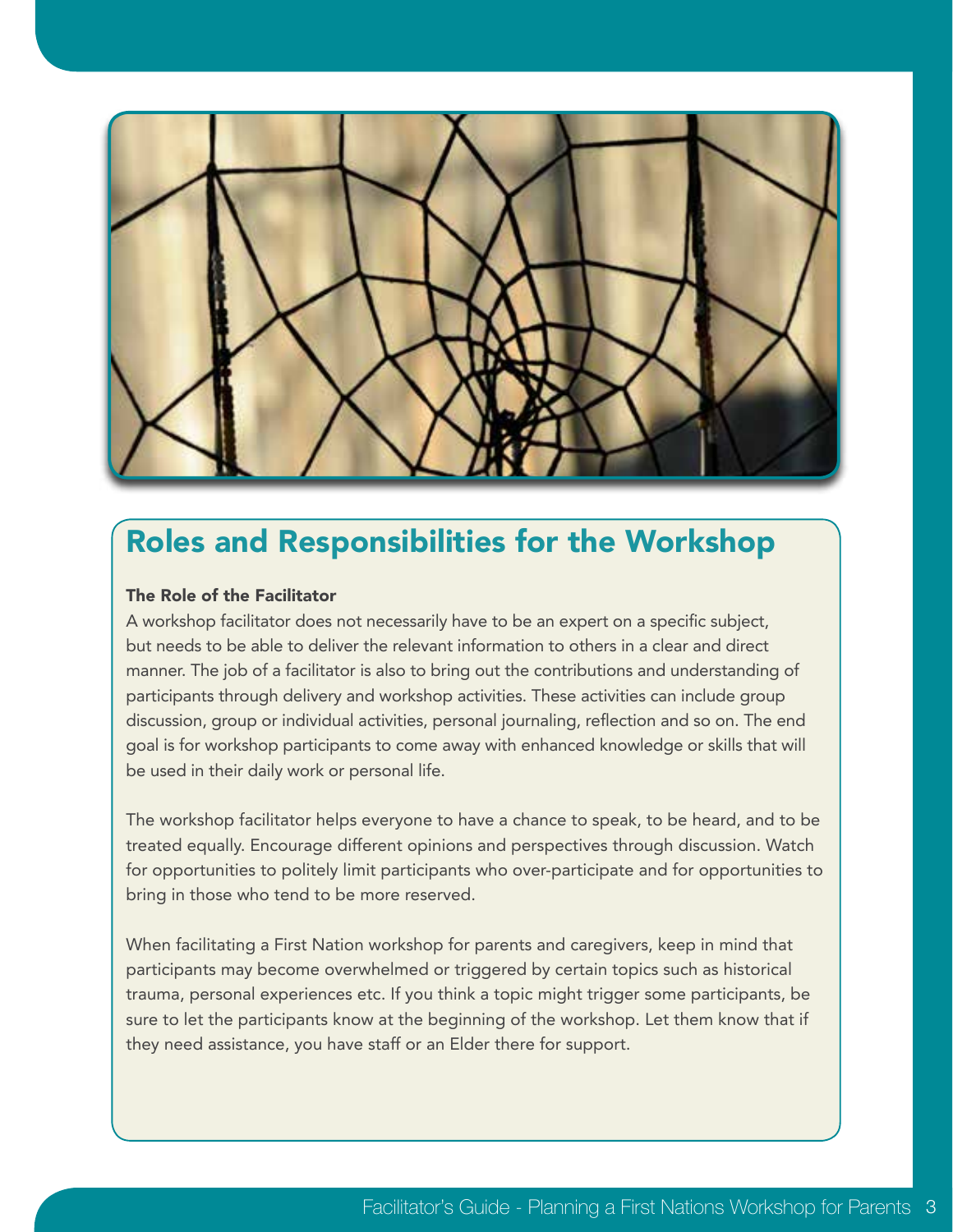

## Roles and Responsibilities for the Workshop

#### The Role of the Facilitator

A workshop facilitator does not necessarily have to be an expert on a specific subject, but needs to be able to deliver the relevant information to others in a clear and direct manner. The job of a facilitator is also to bring out the contributions and understanding of participants through delivery and workshop activities. These activities can include group discussion, group or individual activities, personal journaling, reflection and so on. The end goal is for workshop participants to come away with enhanced knowledge or skills that will be used in their daily work or personal life.

The workshop facilitator helps everyone to have a chance to speak, to be heard, and to be treated equally. Encourage different opinions and perspectives through discussion. Watch for opportunities to politely limit participants who over-participate and for opportunities to bring in those who tend to be more reserved.

When facilitating a First Nation workshop for parents and caregivers, keep in mind that participants may become overwhelmed or triggered by certain topics such as historical trauma, personal experiences etc. If you think a topic might trigger some participants, be sure to let the participants know at the beginning of the workshop. Let them know that if they need assistance, you have staff or an Elder there for support.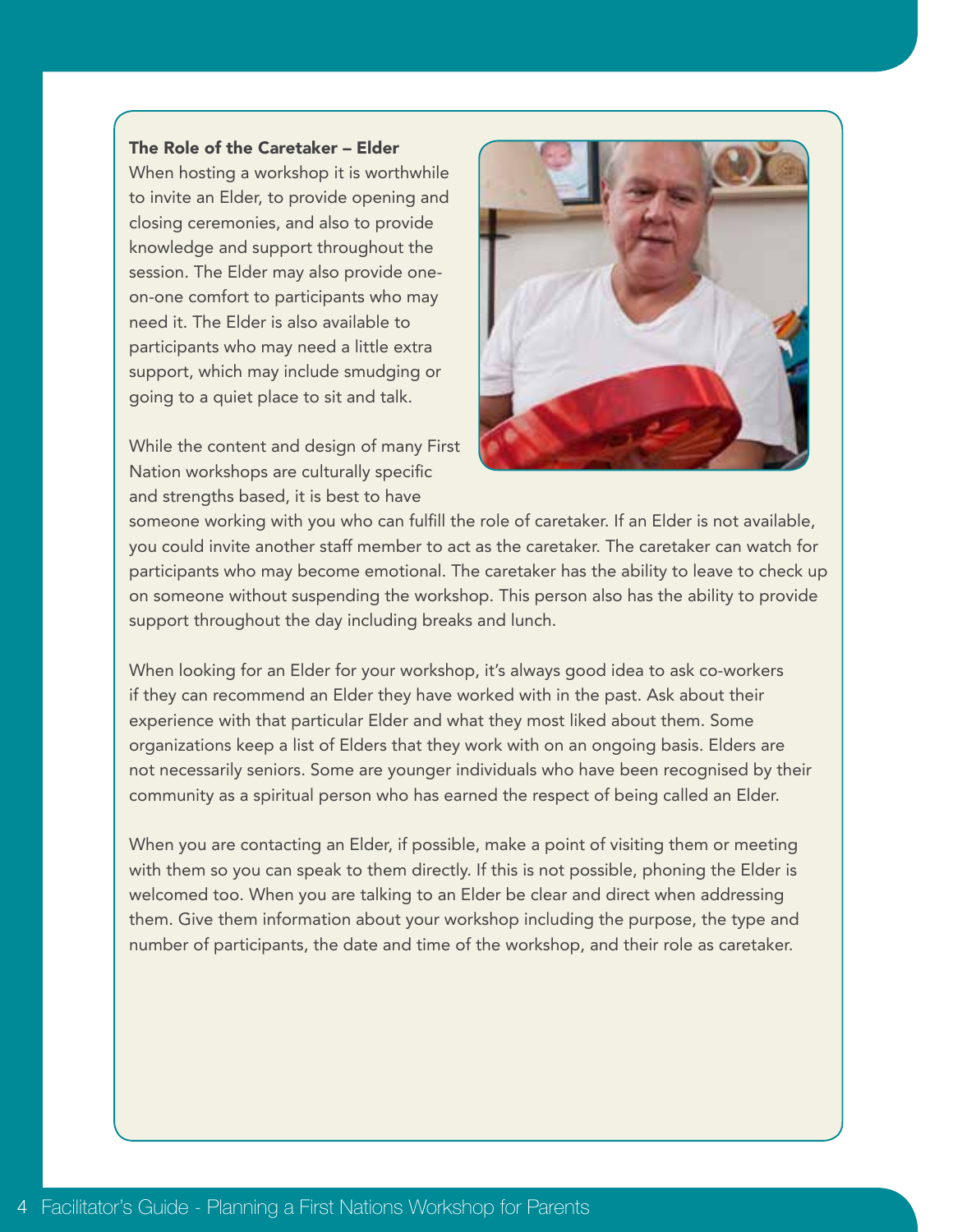#### The Role of the Caretaker – Elder

When hosting a workshop it is worthwhile to invite an Elder, to provide opening and closing ceremonies, and also to provide knowledge and support throughout the session. The Elder may also provide oneon-one comfort to participants who may need it. The Elder is also available to participants who may need a little extra support, which may include smudging or going to a quiet place to sit and talk.

While the content and design of many First Nation workshops are culturally specific and strengths based, it is best to have



someone working with you who can fulfill the role of caretaker. If an Elder is not available, you could invite another staff member to act as the caretaker. The caretaker can watch for participants who may become emotional. The caretaker has the ability to leave to check up on someone without suspending the workshop. This person also has the ability to provide support throughout the day including breaks and lunch.

When looking for an Elder for your workshop, it's always good idea to ask co-workers if they can recommend an Elder they have worked with in the past. Ask about their experience with that particular Elder and what they most liked about them. Some organizations keep a list of Elders that they work with on an ongoing basis. Elders are not necessarily seniors. Some are younger individuals who have been recognised by their community as a spiritual person who has earned the respect of being called an Elder.

When you are contacting an Elder, if possible, make a point of visiting them or meeting with them so you can speak to them directly. If this is not possible, phoning the Elder is welcomed too. When you are talking to an Elder be clear and direct when addressing them. Give them information about your workshop including the purpose, the type and number of participants, the date and time of the workshop, and their role as caretaker.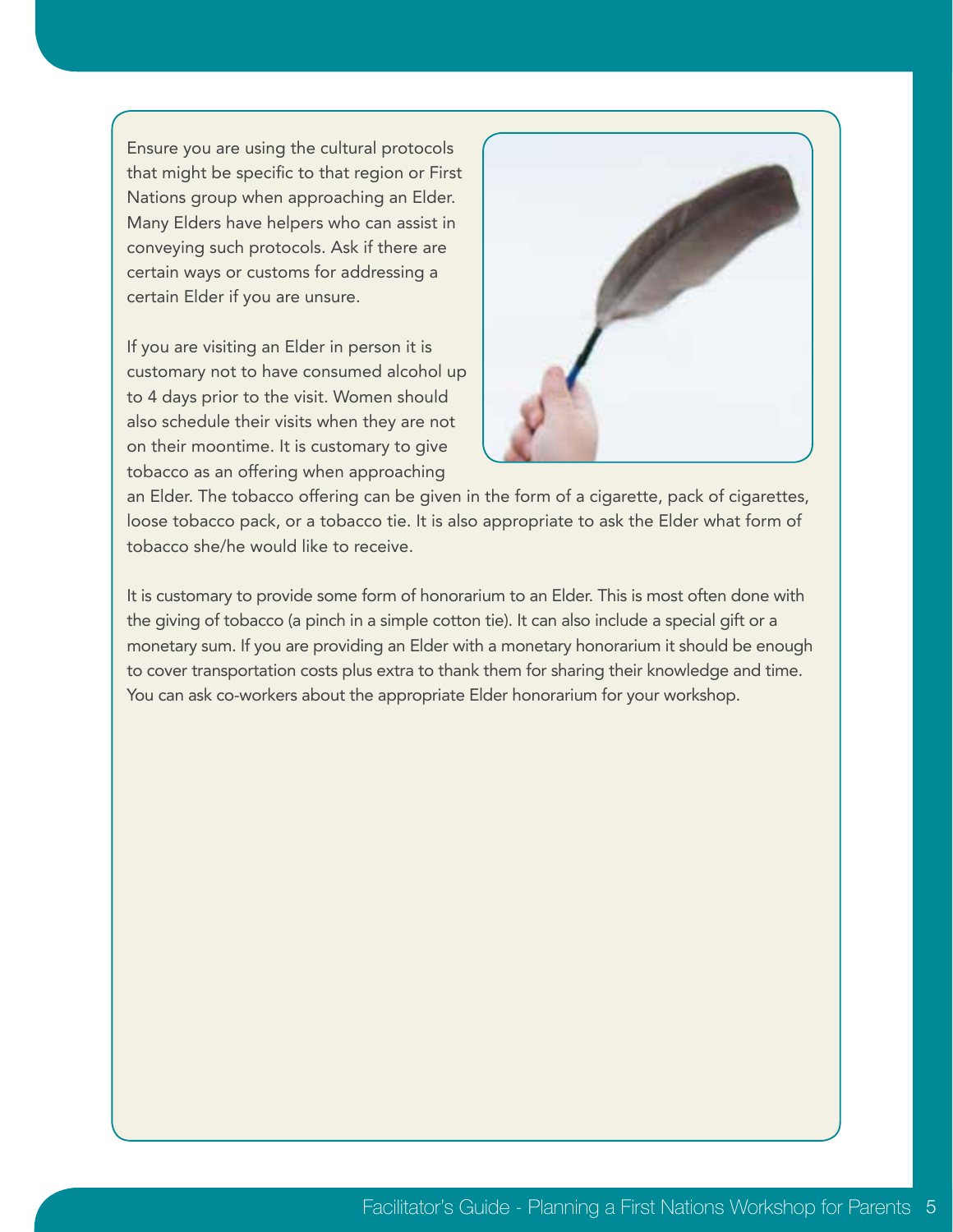Ensure you are using the cultural protocols that might be specific to that region or First Nations group when approaching an Elder. Many Elders have helpers who can assist in conveying such protocols. Ask if there are certain ways or customs for addressing a certain Elder if you are unsure.

If you are visiting an Elder in person it is customary not to have consumed alcohol up to 4 days prior to the visit. Women should also schedule their visits when they are not on their moontime. It is customary to give tobacco as an offering when approaching



an Elder. The tobacco offering can be given in the form of a cigarette, pack of cigarettes, loose tobacco pack, or a tobacco tie. It is also appropriate to ask the Elder what form of tobacco she/he would like to receive.

It is customary to provide some form of honorarium to an Elder. This is most often done with the giving of tobacco (a pinch in a simple cotton tie). It can also include a special gift or a monetary sum. If you are providing an Elder with a monetary honorarium it should be enough to cover transportation costs plus extra to thank them for sharing their knowledge and time. You can ask co-workers about the appropriate Elder honorarium for your workshop.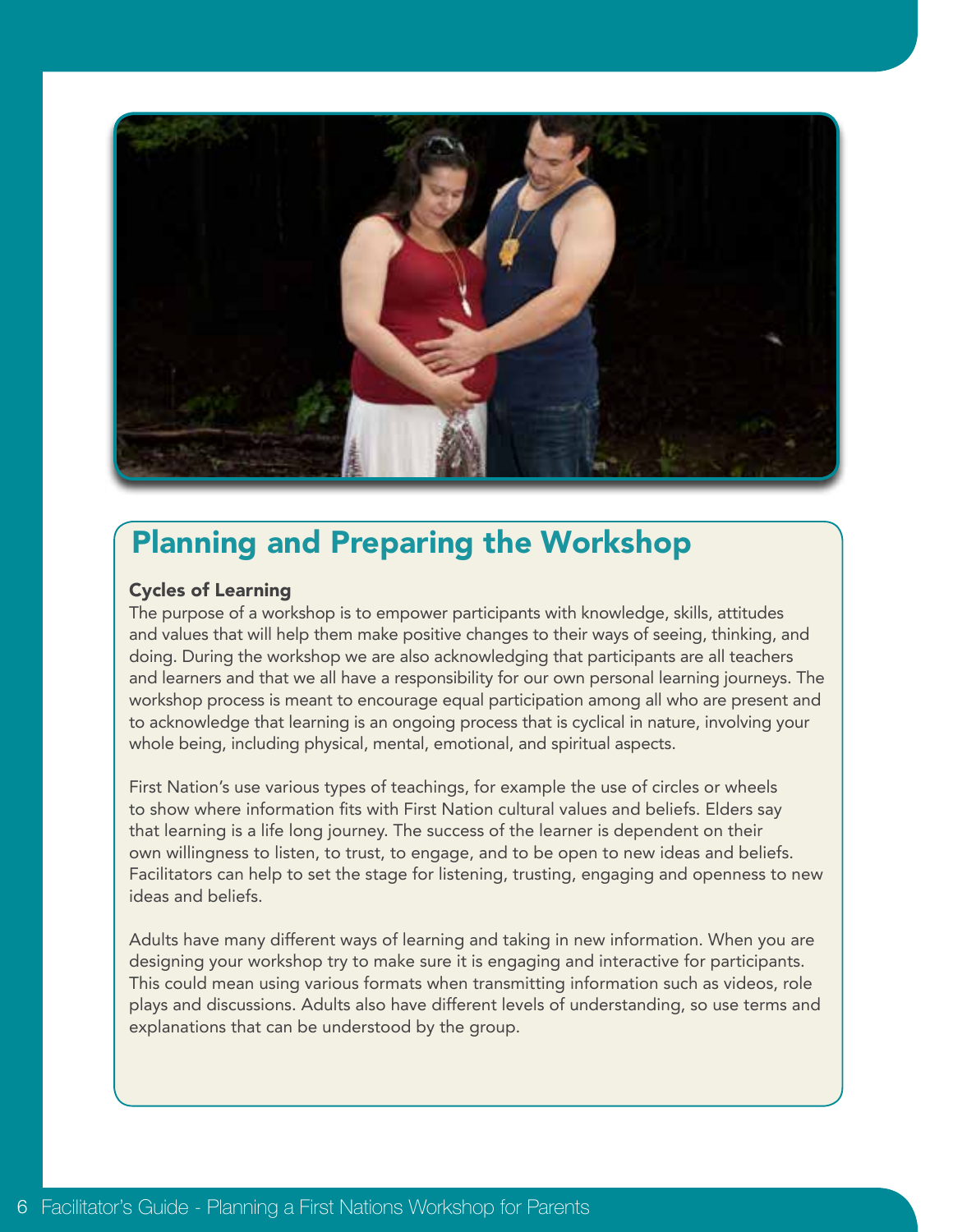

## Planning and Preparing the Workshop

#### Cycles of Learning

The purpose of a workshop is to empower participants with knowledge, skills, attitudes and values that will help them make positive changes to their ways of seeing, thinking, and doing. During the workshop we are also acknowledging that participants are all teachers and learners and that we all have a responsibility for our own personal learning journeys. The workshop process is meant to encourage equal participation among all who are present and to acknowledge that learning is an ongoing process that is cyclical in nature, involving your whole being, including physical, mental, emotional, and spiritual aspects.

First Nation's use various types of teachings, for example the use of circles or wheels to show where information fits with First Nation cultural values and beliefs. Elders say that learning is a life long journey. The success of the learner is dependent on their own willingness to listen, to trust, to engage, and to be open to new ideas and beliefs. Facilitators can help to set the stage for listening, trusting, engaging and openness to new ideas and beliefs.

Adults have many different ways of learning and taking in new information. When you are designing your workshop try to make sure it is engaging and interactive for participants. This could mean using various formats when transmitting information such as videos, role plays and discussions. Adults also have different levels of understanding, so use terms and explanations that can be understood by the group.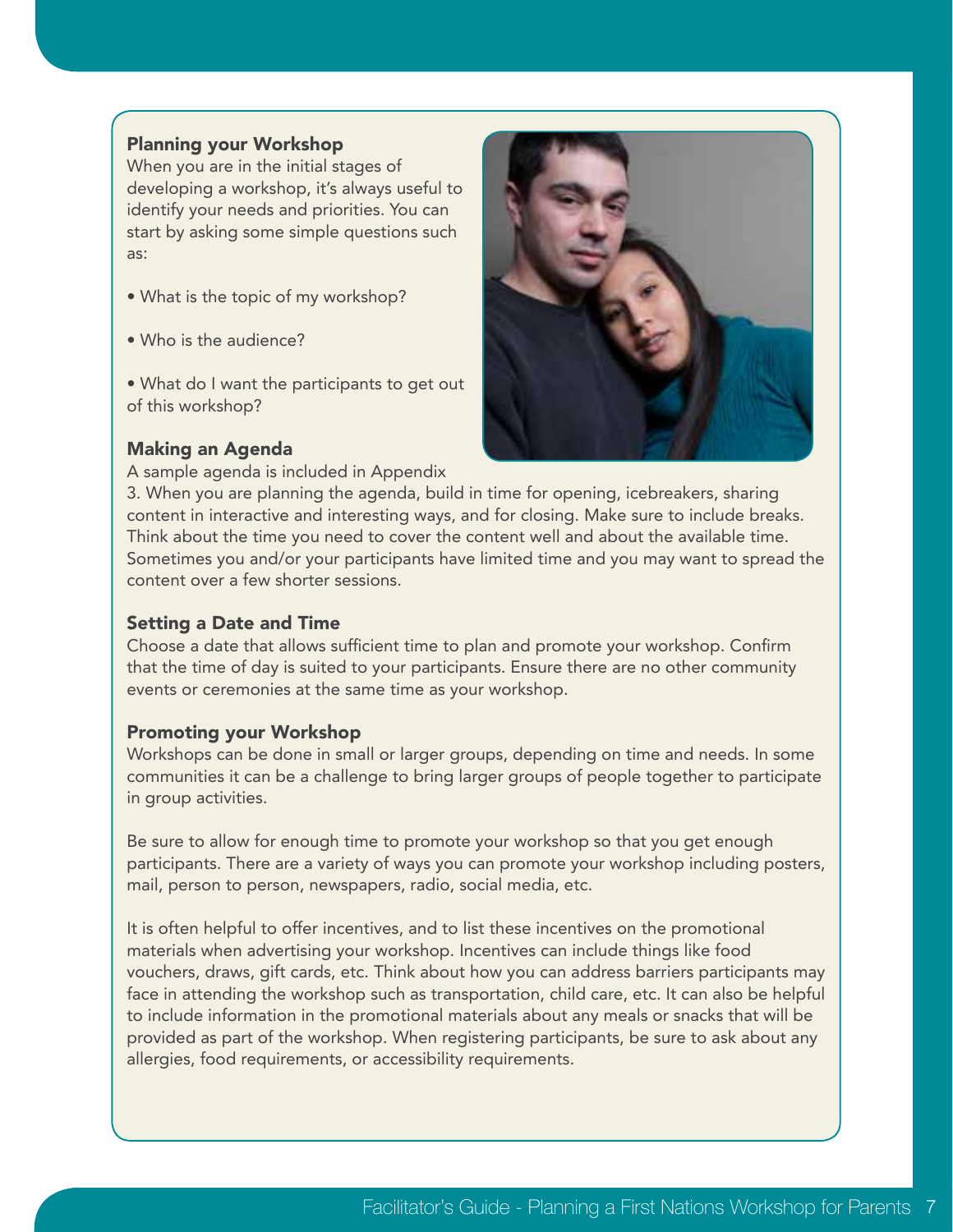#### Planning your Workshop

When you are in the initial stages of developing a workshop, it's always useful to identify your needs and priorities. You can start by asking some simple questions such as:

- What is the topic of my workshop?
- Who is the audience?

• What do I want the participants to get out of this workshop?

#### Making an Agenda

A sample agenda is included in Appendix



3. When you are planning the agenda, build in time for opening, icebreakers, sharing content in interactive and interesting ways, and for closing. Make sure to include breaks. Think about the time you need to cover the content well and about the available time. Sometimes you and/or your participants have limited time and you may want to spread the content over a few shorter sessions.

#### Setting a Date and Time

Choose a date that allows sufficient time to plan and promote your workshop. Confirm that the time of day is suited to your participants. Ensure there are no other community events or ceremonies at the same time as your workshop.

#### Promoting your Workshop

Workshops can be done in small or larger groups, depending on time and needs. In some communities it can be a challenge to bring larger groups of people together to participate in group activities.

Be sure to allow for enough time to promote your workshop so that you get enough participants. There are a variety of ways you can promote your workshop including posters, mail, person to person, newspapers, radio, social media, etc.

It is often helpful to offer incentives, and to list these incentives on the promotional materials when advertising your workshop. Incentives can include things like food vouchers, draws, gift cards, etc. Think about how you can address barriers participants may face in attending the workshop such as transportation, child care, etc. It can also be helpful to include information in the promotional materials about any meals or snacks that will be provided as part of the workshop. When registering participants, be sure to ask about any allergies, food requirements, or accessibility requirements.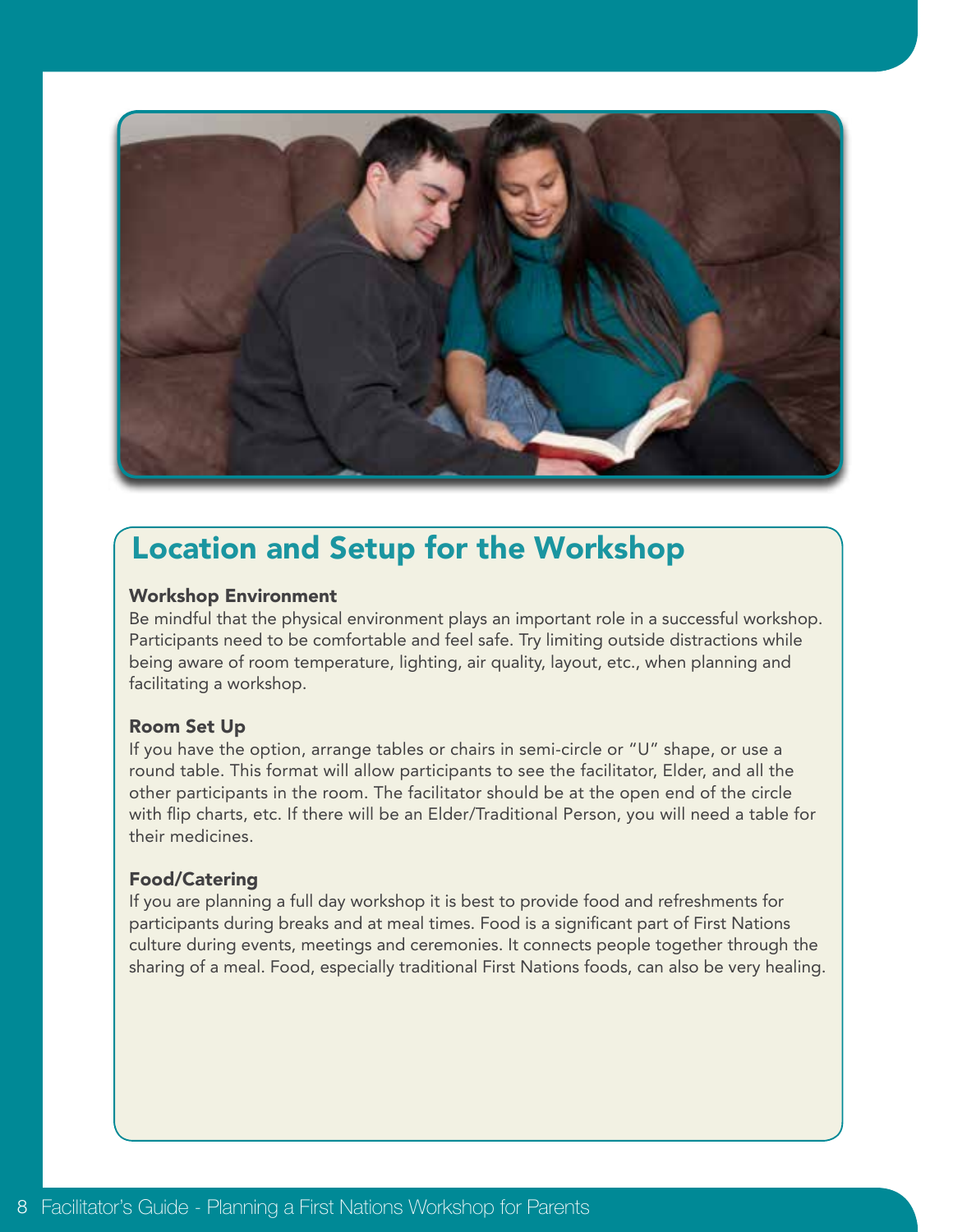

## Location and Setup for the Workshop

#### Workshop Environment

Be mindful that the physical environment plays an important role in a successful workshop. Participants need to be comfortable and feel safe. Try limiting outside distractions while being aware of room temperature, lighting, air quality, layout, etc., when planning and facilitating a workshop.

#### Room Set Up

If you have the option, arrange tables or chairs in semi-circle or "U" shape, or use a round table. This format will allow participants to see the facilitator, Elder, and all the other participants in the room. The facilitator should be at the open end of the circle with flip charts, etc. If there will be an Elder/Traditional Person, you will need a table for their medicines.

#### Food/Catering

If you are planning a full day workshop it is best to provide food and refreshments for participants during breaks and at meal times. Food is a significant part of First Nations culture during events, meetings and ceremonies. It connects people together through the sharing of a meal. Food, especially traditional First Nations foods, can also be very healing.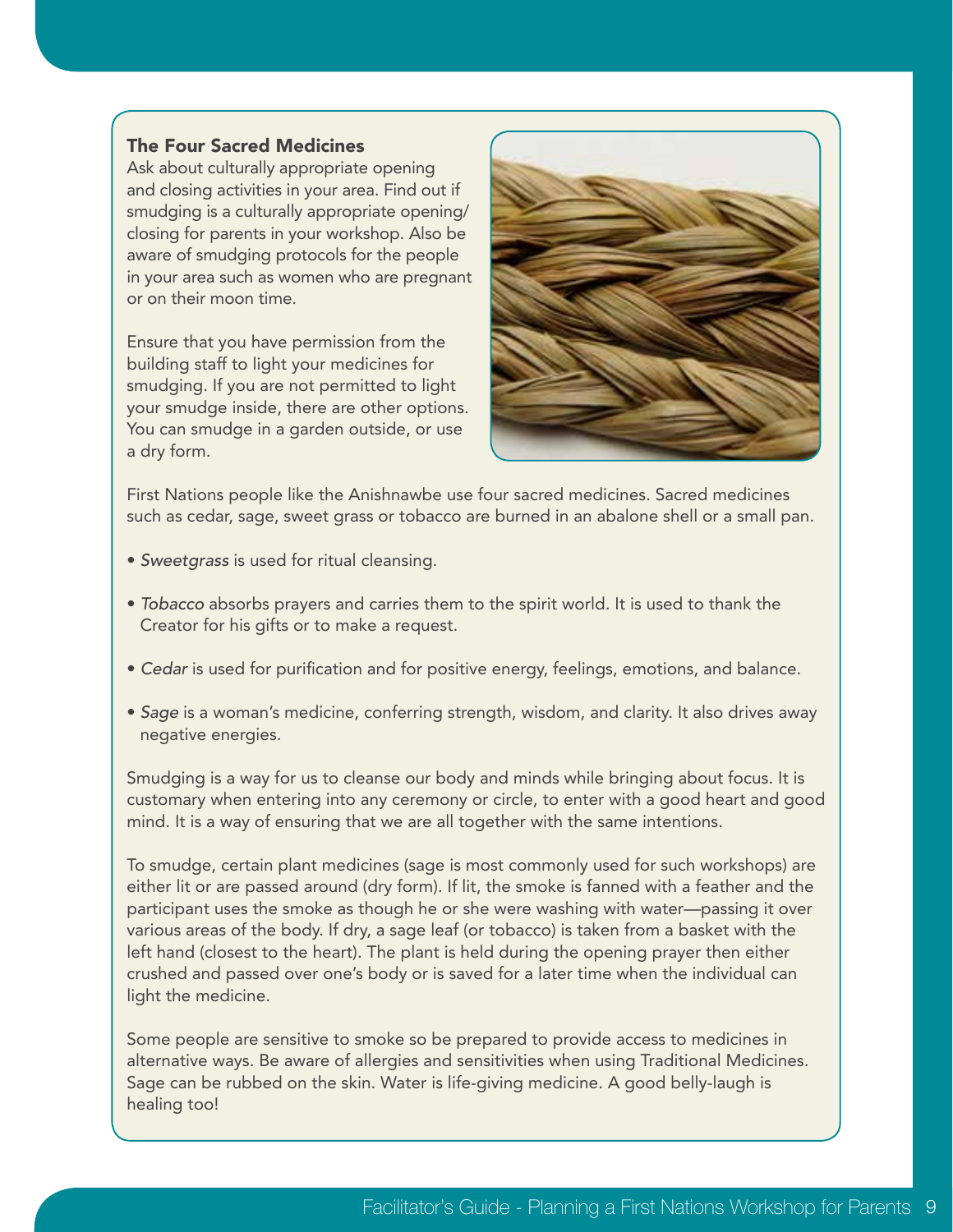#### The Four Sacred Medicines

Ask about culturally appropriate opening and closing activities in your area. Find out if smudging is a culturally appropriate opening/ closing for parents in your workshop. Also be aware of smudging protocols for the people in your area such as women who are pregnant or on their moon time.

Ensure that you have permission from the building staff to light your medicines for smudging. If you are not permitted to light your smudge inside, there are other options. You can smudge in a garden outside, or use a dry form.



First Nations people like the Anishnawbe use four sacred medicines. Sacred medicines such as cedar, sage, sweet grass or tobacco are burned in an abalone shell or a small pan.

- *Sweetgrass* is used for ritual cleansing.
- *Tobacco* absorbs prayers and carries them to the spirit world. It is used to thank the Creator for his gifts or to make a request.
- *Cedar* is used for purification and for positive energy, feelings, emotions, and balance.
- *Sage* is a woman's medicine, conferring strength, wisdom, and clarity. It also drives away negative energies.

Smudging is a way for us to cleanse our body and minds while bringing about focus. It is customary when entering into any ceremony or circle, to enter with a good heart and good mind. It is a way of ensuring that we are all together with the same intentions.

To smudge, certain plant medicines (sage is most commonly used for such workshops) are either lit or are passed around (dry form). If lit, the smoke is fanned with a feather and the participant uses the smoke as though he or she were washing with water—passing it over various areas of the body. If dry, a sage leaf (or tobacco) is taken from a basket with the left hand (closest to the heart). The plant is held during the opening prayer then either crushed and passed over one's body or is saved for a later time when the individual can light the medicine.

Some people are sensitive to smoke so be prepared to provide access to medicines in alternative ways. Be aware of allergies and sensitivities when using Traditional Medicines. Sage can be rubbed on the skin. Water is life-giving medicine. A good belly-laugh is healing too!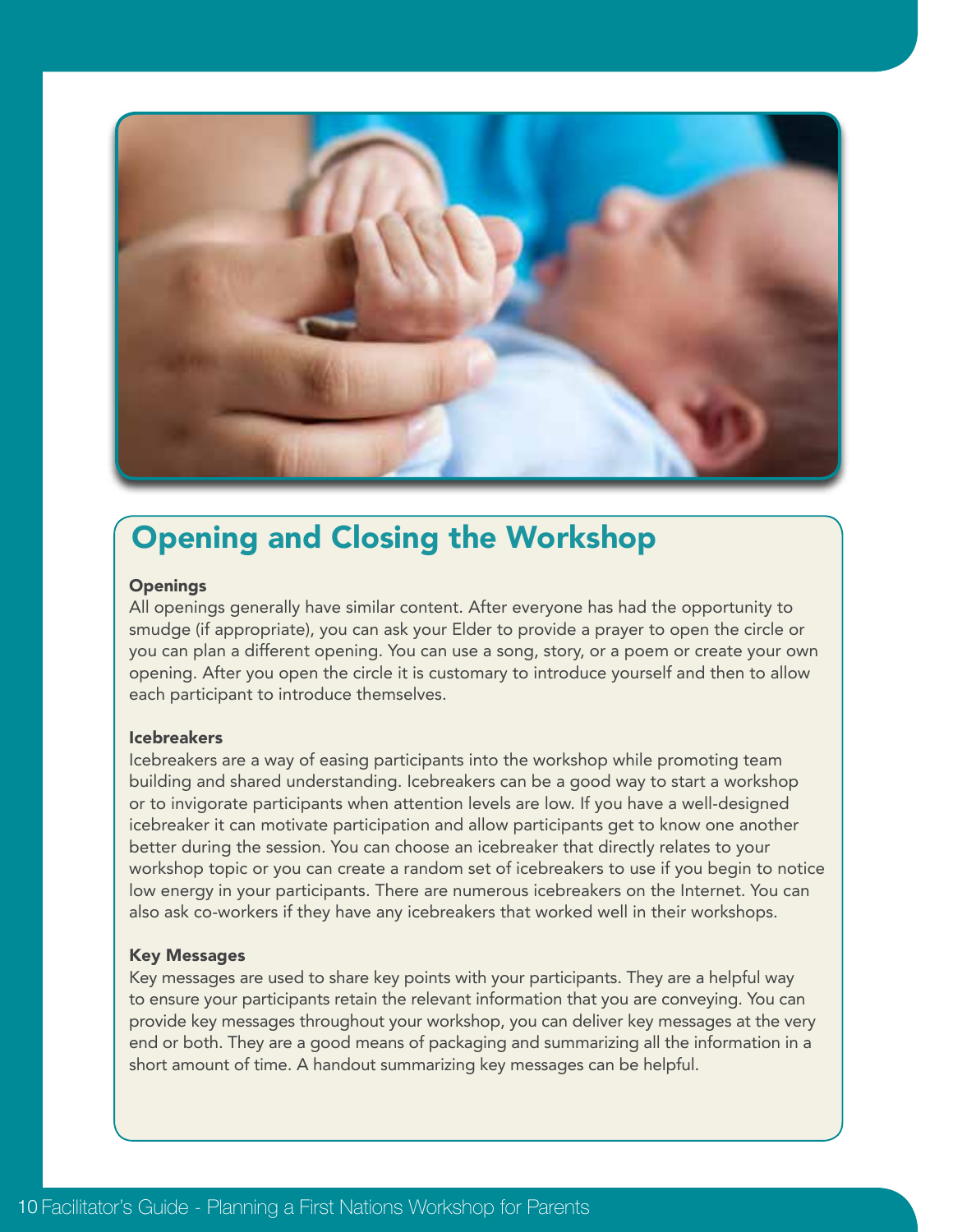

## Opening and Closing the Workshop

#### **Openings**

All openings generally have similar content. After everyone has had the opportunity to smudge (if appropriate), you can ask your Elder to provide a prayer to open the circle or you can plan a different opening. You can use a song, story, or a poem or create your own opening. After you open the circle it is customary to introduce yourself and then to allow each participant to introduce themselves.

#### Icebreakers

Icebreakers are a way of easing participants into the workshop while promoting team building and shared understanding. Icebreakers can be a good way to start a workshop or to invigorate participants when attention levels are low. If you have a well-designed icebreaker it can motivate participation and allow participants get to know one another better during the session. You can choose an icebreaker that directly relates to your workshop topic or you can create a random set of icebreakers to use if you begin to notice low energy in your participants. There are numerous icebreakers on the Internet. You can also ask co-workers if they have any icebreakers that worked well in their workshops.

#### Key Messages

Key messages are used to share key points with your participants. They are a helpful way to ensure your participants retain the relevant information that you are conveying. You can provide key messages throughout your workshop, you can deliver key messages at the very end or both. They are a good means of packaging and summarizing all the information in a short amount of time. A handout summarizing key messages can be helpful.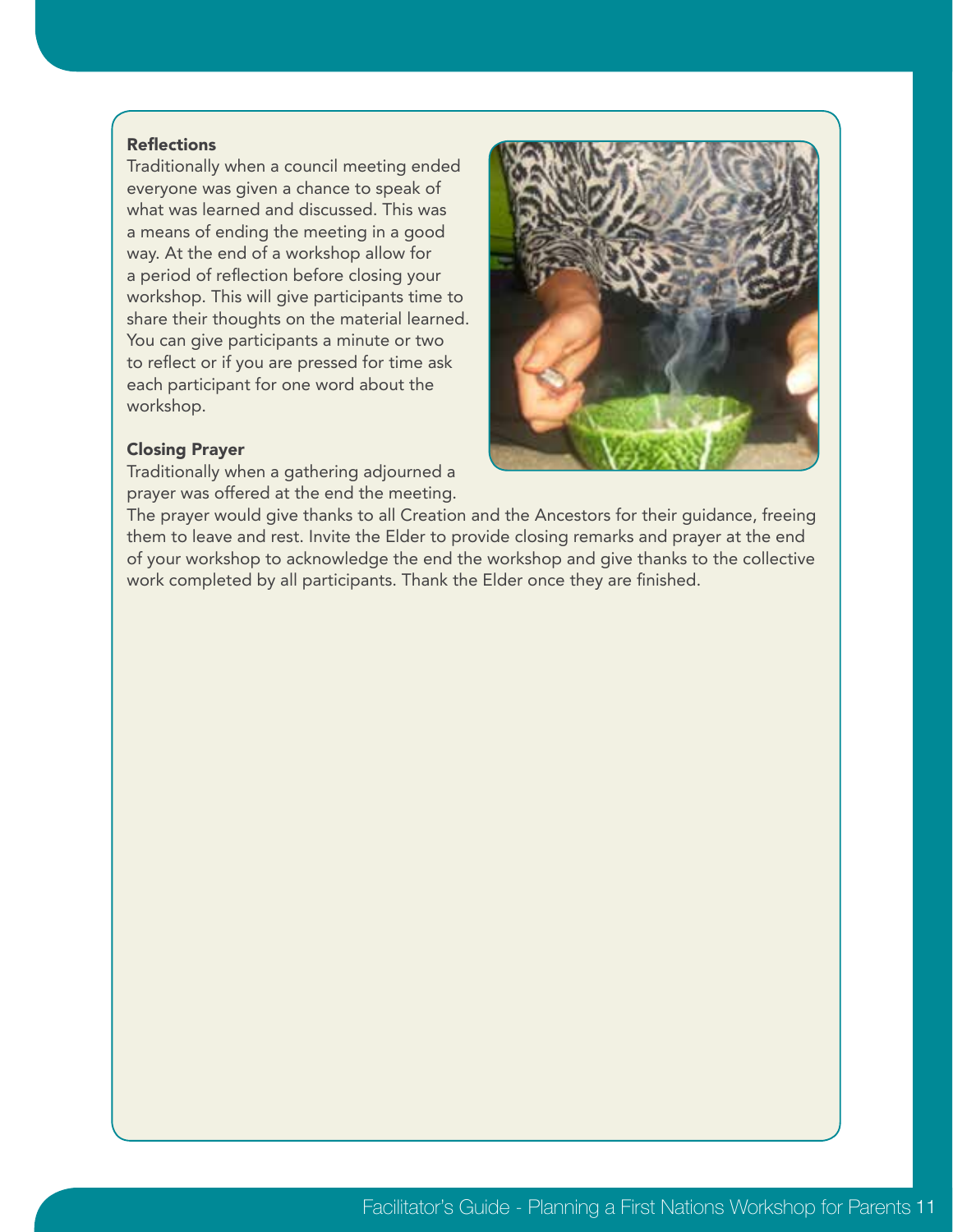#### **Reflections**

Traditionally when a council meeting ended everyone was given a chance to speak of what was learned and discussed. This was a means of ending the meeting in a good way. At the end of a workshop allow for a period of reflection before closing your workshop. This will give participants time to share their thoughts on the material learned. You can give participants a minute or two to reflect or if you are pressed for time ask each participant for one word about the workshop.

#### Closing Prayer

Traditionally when a gathering adjourned a prayer was offered at the end the meeting.



The prayer would give thanks to all Creation and the Ancestors for their guidance, freeing them to leave and rest. Invite the Elder to provide closing remarks and prayer at the end of your workshop to acknowledge the end the workshop and give thanks to the collective work completed by all participants. Thank the Elder once they are finished.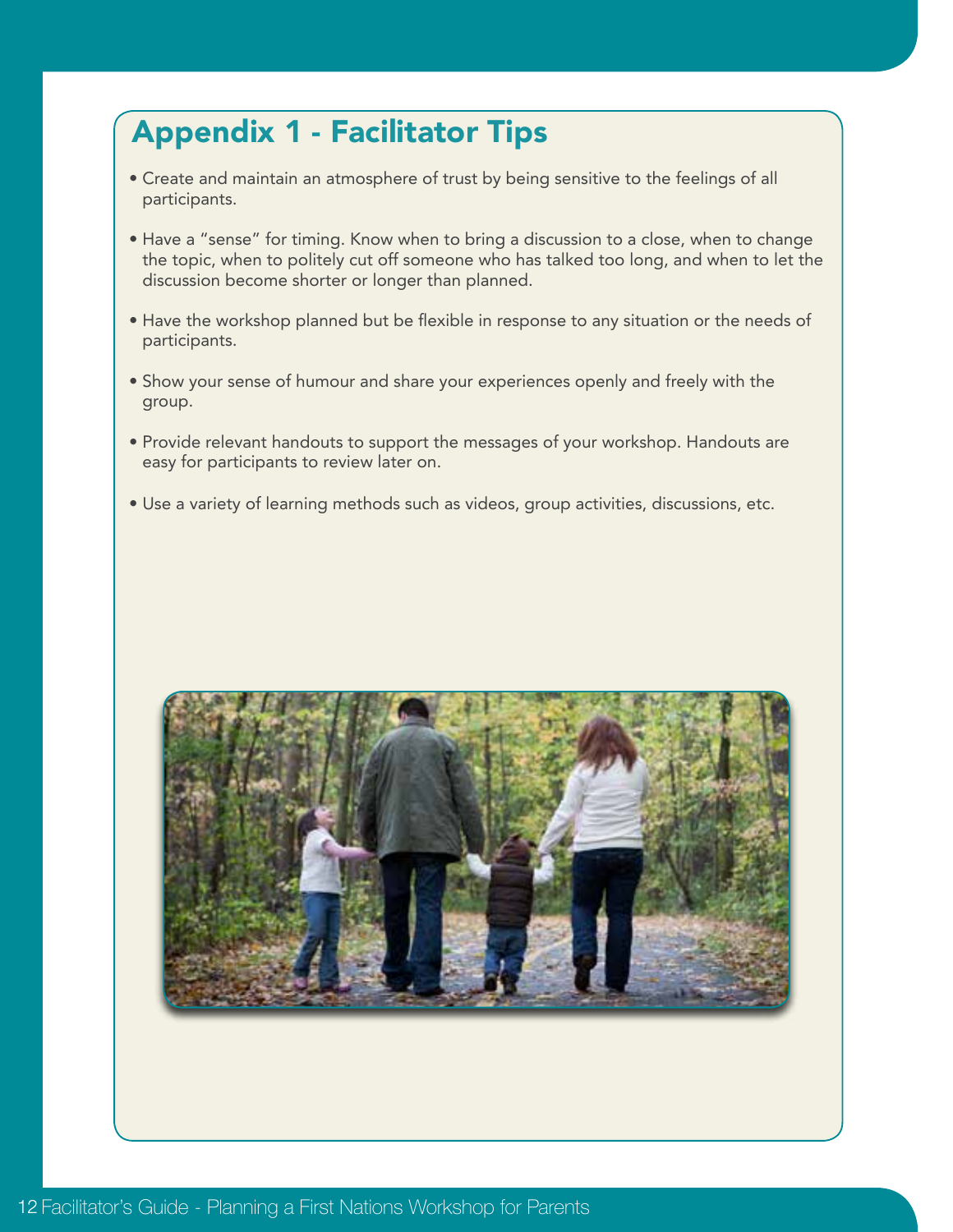# Appendix 1 - Facilitator Tips

- Create and maintain an atmosphere of trust by being sensitive to the feelings of all participants.
- Have a "sense" for timing. Know when to bring a discussion to a close, when to change the topic, when to politely cut off someone who has talked too long, and when to let the discussion become shorter or longer than planned.
- Have the workshop planned but be flexible in response to any situation or the needs of participants.
- Show your sense of humour and share your experiences openly and freely with the group.
- Provide relevant handouts to support the messages of your workshop. Handouts are easy for participants to review later on.
- Use a variety of learning methods such as videos, group activities, discussions, etc.

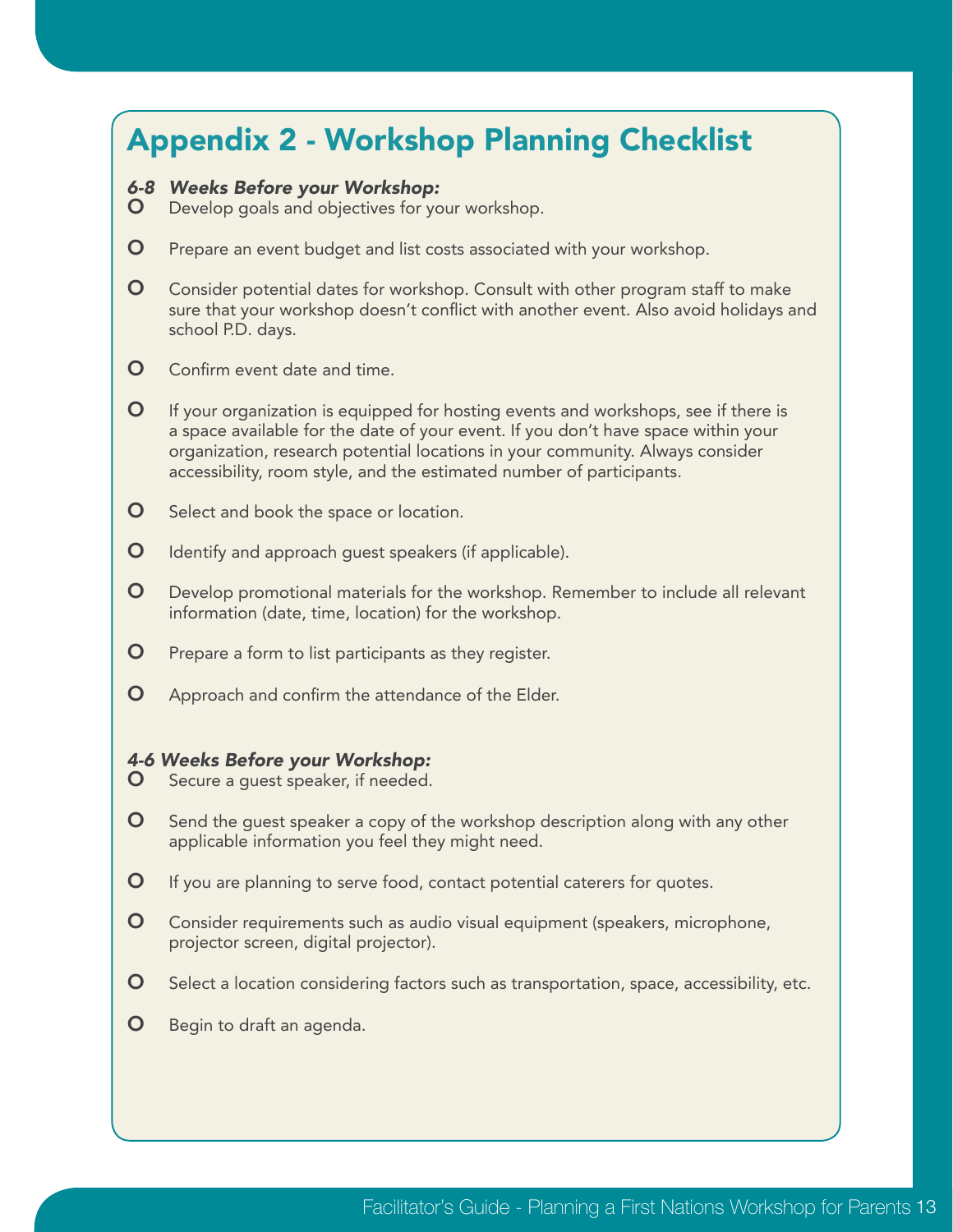### Appendix 2 - Workshop Planning Checklist *6-8 Weeks Before your Workshop:* **O** Develop goals and objectives for your workshop. **O** Prepare an event budget and list costs associated with your workshop. **O** Consider potential dates for workshop. Consult with other program staff to make sure that your workshop doesn't conflict with another event. Also avoid holidays and school P.D. days. **O** Confirm event date and time.  $\bullet$  If your organization is equipped for hosting events and workshops, see if there is a space available for the date of your event. If you don't have space within your organization, research potential locations in your community. Always consider accessibility, room style, and the estimated number of participants.

- **O** Select and book the space or location.
- **O** Identify and approach quest speakers (if applicable).
- **O** Develop promotional materials for the workshop. Remember to include all relevant information (date, time, location) for the workshop.
- **O** Prepare a form to list participants as they register.
- **O** Approach and confirm the attendance of the Elder.

#### *4-6 Weeks Before your Workshop:*

- **O** Secure a quest speaker, if needed.
- $\bullet$  Send the guest speaker a copy of the workshop description along with any other applicable information you feel they might need.
- **O** If you are planning to serve food, contact potential caterers for quotes.
- **O** Consider requirements such as audio visual equipment (speakers, microphone, projector screen, digital projector).
- **O** Select a location considering factors such as transportation, space, accessibility, etc.
- **O** Begin to draft an agenda.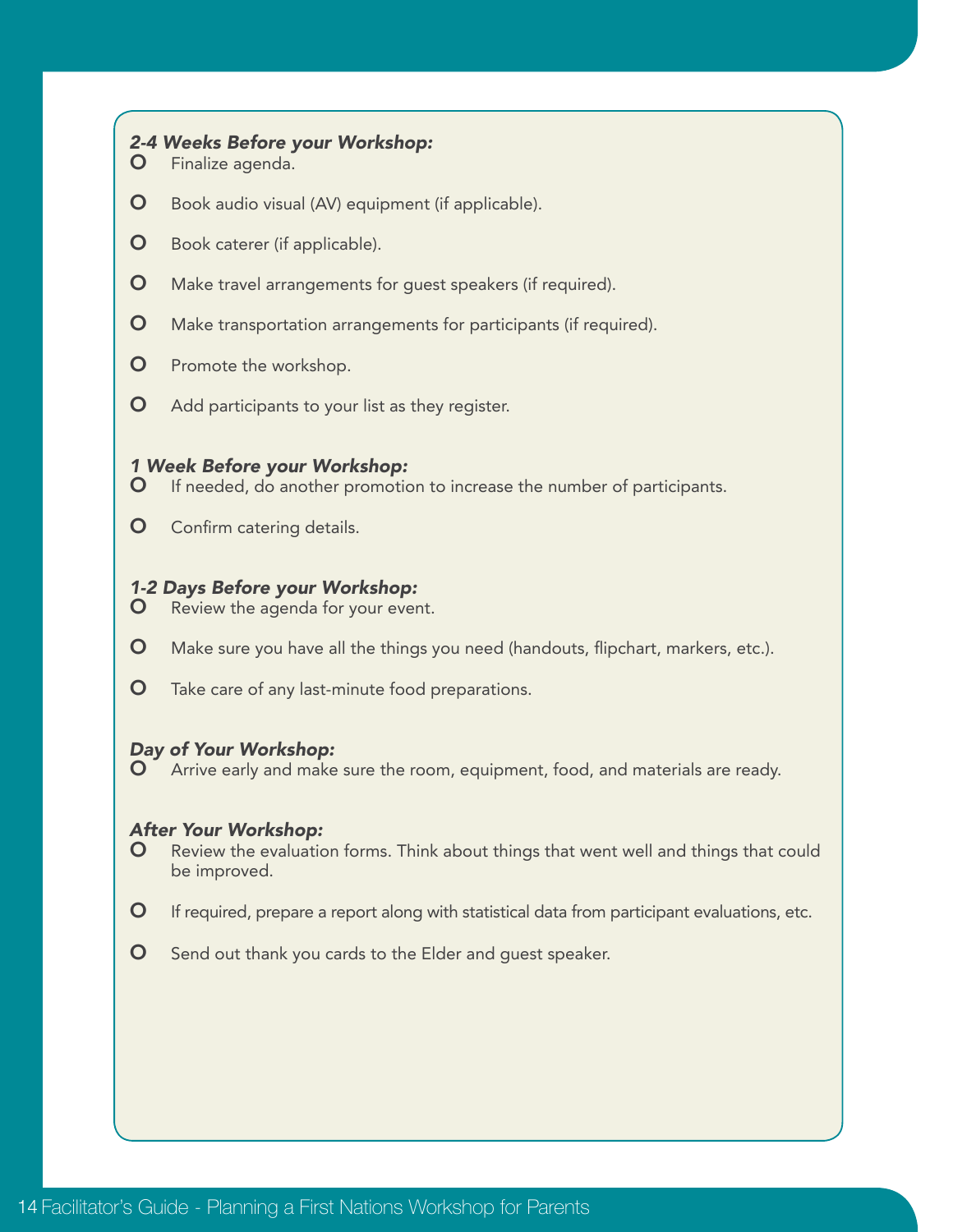#### *2-4 Weeks Before your Workshop:*

- O Finalize agenda.
- **O** Book audio visual (AV) equipment (if applicable).
- **O** Book caterer (if applicable).
- **O** Make travel arrangements for guest speakers (if required).
- **O** Make transportation arrangements for participants (if required).
- **O** Promote the workshop.
- **O** Add participants to your list as they register.

#### *1 Week Before your Workshop:*

- **O** If needed, do another promotion to increase the number of participants.
- **O** Confirm catering details.

#### *1-2 Days Before your Workshop:*

- **O** Review the agenda for your event.
- **O** Make sure you have all the things you need (handouts, flipchart, markers, etc.).
- **O** Take care of any last-minute food preparations.

## *Day of Your Workshop:*

Arrive early and make sure the room, equipment, food, and materials are ready.

#### *After Your Workshop:*

- **O** Review the evaluation forms. Think about things that went well and things that could be improved.
- $\bullet$  If required, prepare a report along with statistical data from participant evaluations, etc.
- **O** Send out thank you cards to the Elder and quest speaker.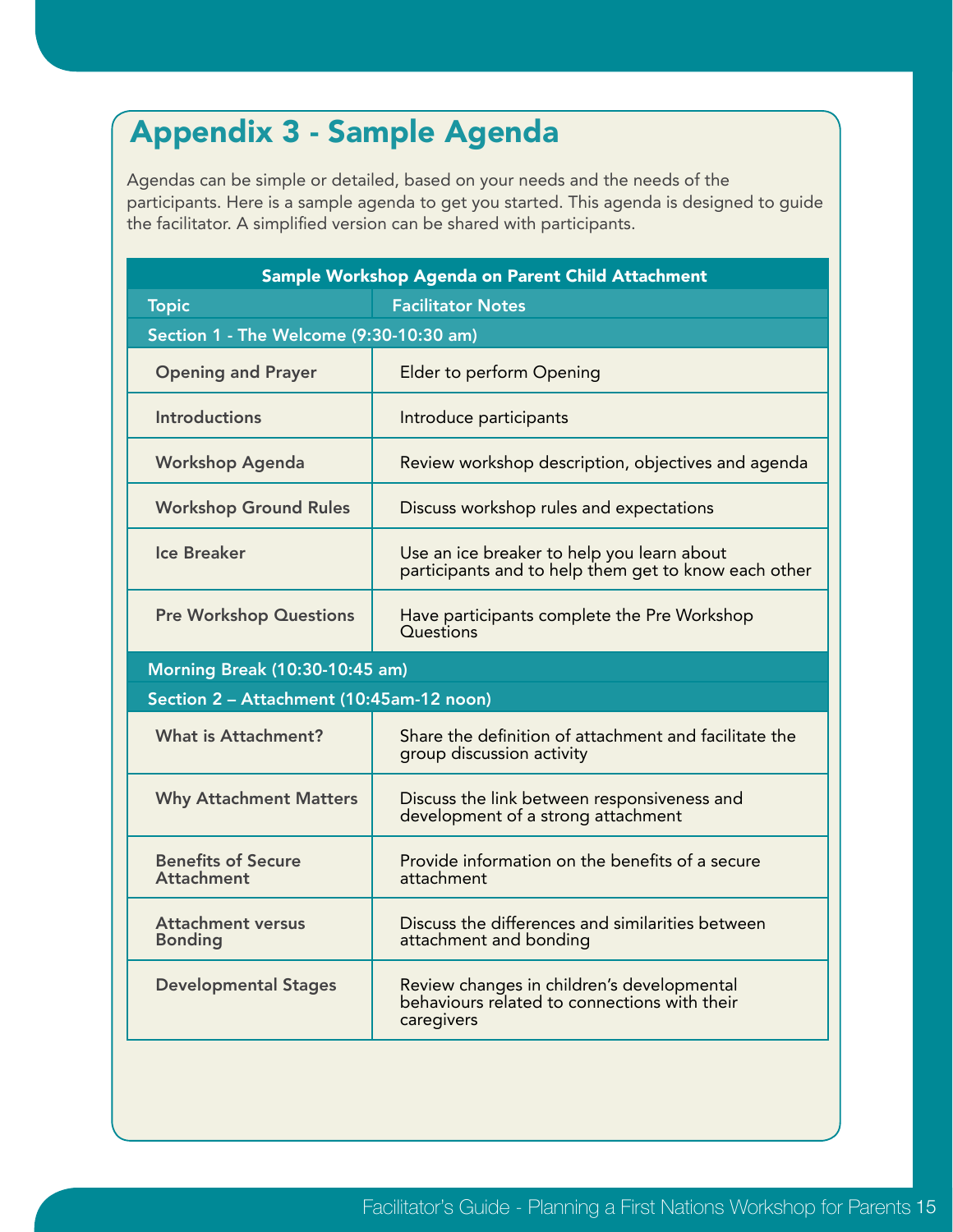# Appendix 3 - Sample Agenda

Agendas can be simple or detailed, based on your needs and the needs of the participants. Here is a sample agenda to get you started. This agenda is designed to guide the facilitator. A simplified version can be shared with participants.

| Sample Workshop Agenda on Parent Child Attachment |                                                                                                          |  |  |  |
|---------------------------------------------------|----------------------------------------------------------------------------------------------------------|--|--|--|
| <b>Topic</b>                                      | <b>Facilitator Notes</b>                                                                                 |  |  |  |
| Section 1 - The Welcome (9:30-10:30 am)           |                                                                                                          |  |  |  |
| <b>Opening and Prayer</b>                         | Elder to perform Opening                                                                                 |  |  |  |
| <b>Introductions</b>                              | Introduce participants                                                                                   |  |  |  |
| <b>Workshop Agenda</b>                            | Review workshop description, objectives and agenda                                                       |  |  |  |
| <b>Workshop Ground Rules</b>                      | Discuss workshop rules and expectations                                                                  |  |  |  |
| <b>Ice Breaker</b>                                | Use an ice breaker to help you learn about<br>participants and to help them get to know each other       |  |  |  |
| <b>Pre Workshop Questions</b>                     | Have participants complete the Pre Workshop<br>Questions                                                 |  |  |  |
|                                                   | Morning Break (10:30-10:45 am)                                                                           |  |  |  |
|                                                   | Section 2 - Attachment (10:45am-12 noon)                                                                 |  |  |  |
| <b>What is Attachment?</b>                        | Share the definition of attachment and facilitate the<br>group discussion activity                       |  |  |  |
| <b>Why Attachment Matters</b>                     | Discuss the link between responsiveness and<br>development of a strong attachment                        |  |  |  |
| <b>Benefits of Secure</b><br><b>Attachment</b>    | Provide information on the benefits of a secure<br>attachment                                            |  |  |  |
| <b>Attachment versus</b><br><b>Bonding</b>        | Discuss the differences and similarities between<br>attachment and bonding                               |  |  |  |
| <b>Developmental Stages</b>                       | Review changes in children's developmental<br>behaviours related to connections with their<br>caregivers |  |  |  |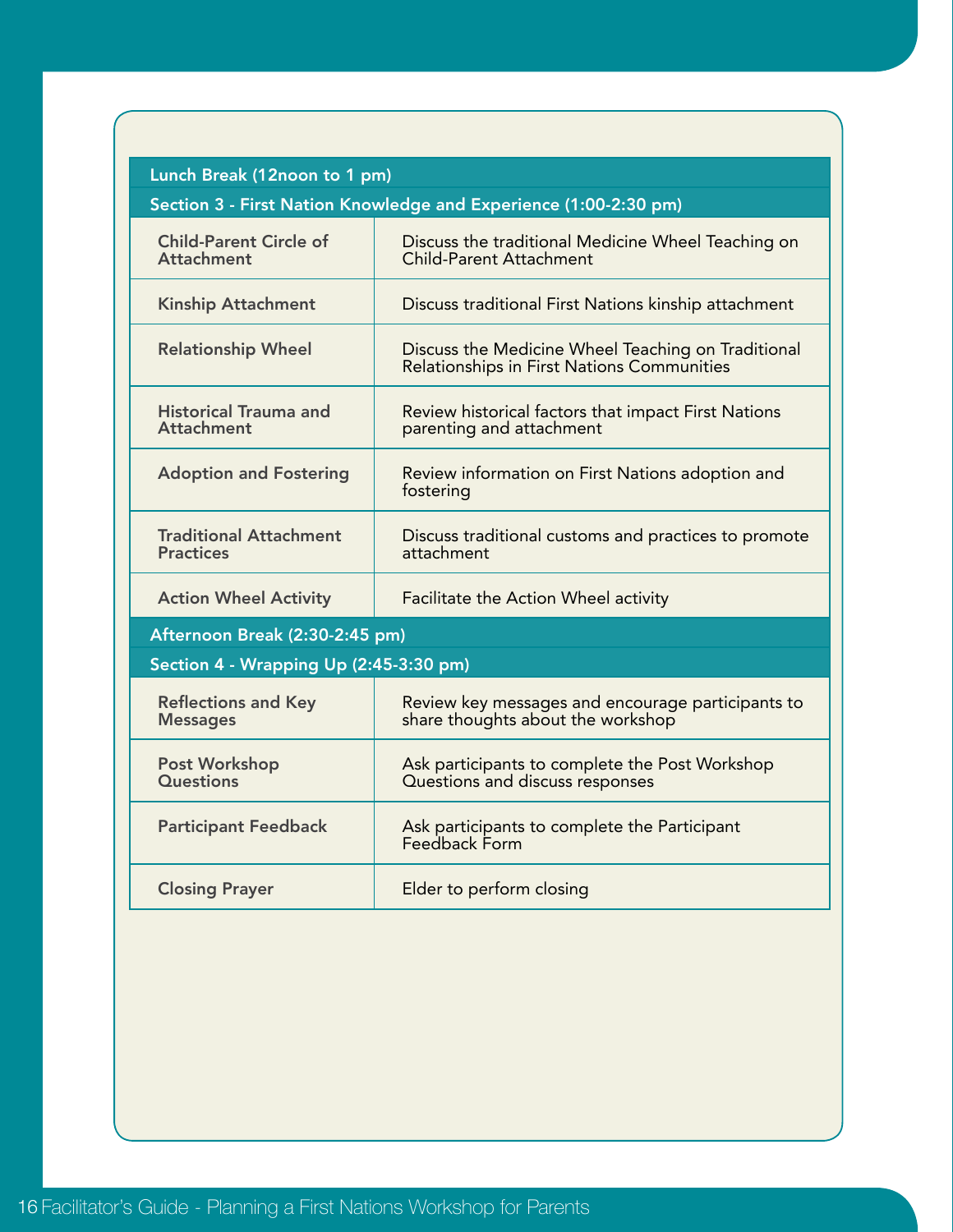| Lunch Break (12noon to 1 pm) |  |  |
|------------------------------|--|--|
|------------------------------|--|--|

| Section 3 - First Nation Knowledge and Experience (1:00-2:30 pm) |  |  |
|------------------------------------------------------------------|--|--|
|                                                                  |  |  |

| <b>Child-Parent Circle of</b><br><b>Attachment</b> | Discuss the traditional Medicine Wheel Teaching on<br><b>Child-Parent Attachment</b>                    |  |  |  |
|----------------------------------------------------|---------------------------------------------------------------------------------------------------------|--|--|--|
| <b>Kinship Attachment</b>                          | Discuss traditional First Nations kinship attachment                                                    |  |  |  |
| <b>Relationship Wheel</b>                          | Discuss the Medicine Wheel Teaching on Traditional<br><b>Relationships in First Nations Communities</b> |  |  |  |
| <b>Historical Trauma and</b><br><b>Attachment</b>  | Review historical factors that impact First Nations<br>parenting and attachment                         |  |  |  |
| <b>Adoption and Fostering</b>                      | Review information on First Nations adoption and<br>fostering                                           |  |  |  |
| <b>Traditional Attachment</b><br><b>Practices</b>  | Discuss traditional customs and practices to promote<br>attachment                                      |  |  |  |
| <b>Action Wheel Activity</b>                       | Facilitate the Action Wheel activity                                                                    |  |  |  |
| Afternoon Break (2:30-2:45 pm)                     |                                                                                                         |  |  |  |
| Section 4 - Wrapping Up (2:45-3:30 pm)             |                                                                                                         |  |  |  |
| <b>Reflections and Key</b><br><b>Messages</b>      | Review key messages and encourage participants to<br>share thoughts about the workshop                  |  |  |  |
| Post Workshop<br><b>Questions</b>                  | Ask participants to complete the Post Workshop<br>Questions and discuss responses                       |  |  |  |
|                                                    |                                                                                                         |  |  |  |
| <b>Participant Feedback</b>                        | Ask participants to complete the Participant<br>Feedback Form                                           |  |  |  |